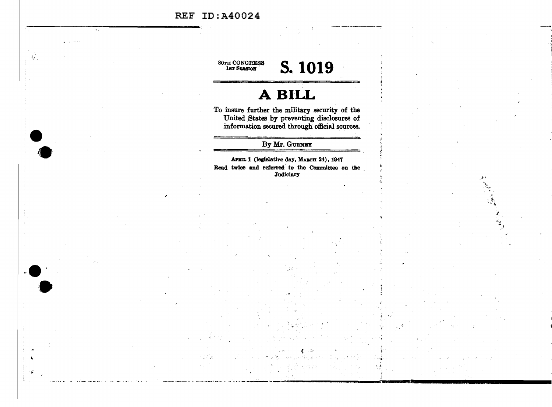### **REF ID:A40024**

Ŵ.

**80TH CONGRESS<br>
1st SESSION** 

# S. 1019

## A BILL

To insure further the military security of the United States by preventing disclosures of information secured through official sources.

By Mr. GURNEY

APRIL 1 (legislative day, MARCH 24), 1947 Read twice and referred to the Committee on the **Judiciary**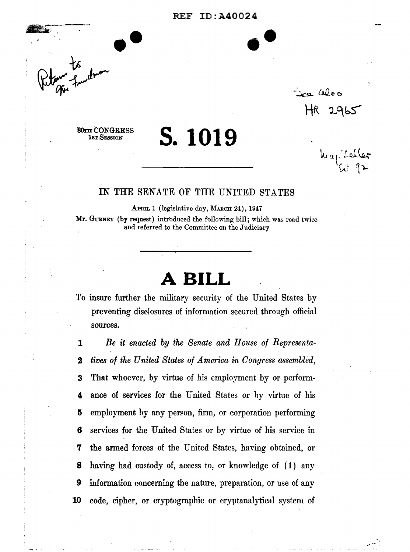#### REF ID:A40024

••



Soa aloo  $HR2965$ 

 $\ln a_1$  beller  $\cdot$   $\sim$   $\sim$ 

**80TH CONGRESS** 1st SESSION

### IN THE SENATE OF THE UNITED STATES

**s. 1019** 

APRIL 1 (legislative day, MARCH 24), 1947

Mr. GURNEY (by request) introduced the following bill; which was read twice and referred to the Committee on the Judiciary

### **A BILL**

To insure further the military security of the United States by preventing disclosures of information secured through official sources.

*Be it enacted by the Senate and House of Representa-tives of the United States of America in Congress assembled,*  That whoever, by virtue of his employment by or perform-ance of services for the United States or by virtue of his employment by any person, firm, or corporation performing services for the United States or by virtue of his service in . **'1** the armed forces of the United States, having obtained, or having had custody of, access to, or knowledge of ( 1) any information concerning the nature, preparation, or use of any code, cipher, or cryptographic or cryptanalytical system of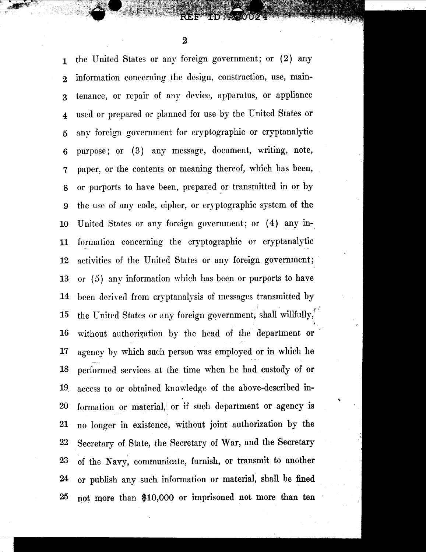1 the United States or any foreign government; or (2) any 2 information concerning ,the design, construction, use, main-3 tenance, or repair of any device, apparatus, or appliance 4 used or prepared or planned for use by the United States or 5 any foreign government for cryptographic or cryptanalytic 6 purpose; or ( 3) any message, document, writing, note, 7 paper, or the contents or meaning thereof, which has been, 8 or purports to have been, prepared or transmitted in or by 9 the use of any code, cipher, or cryptographic system of the 10 United States or any foreign government; or (4) any in-11 formation concerning the cryptographic or cryptanalytic 12 activities of the United States or any foreign government; 13 or (5) any information which has been or purports to have 14 been derived from cryptanalysis of messages transmitted by 15 the United States or any foreign government, shall willfully, .. 16 without authorization by the head of the department or 17 agency by which such person was employed or in which he 18 performed services at the time when he had custody of or 19. access to or obtained knowledge of the above-described in-20 formation or material, or if such department or agency is 21 no longer in existence, without joint authorization by the 22 Secretary of State, the Secretary of War, and the Secretary 23 of the Navy, communicate, furnish, or transmit to another 24 or publish any such information or material, shall be fined 25 not more than \$10,000 or imprisoned not more than ten

'

2

I *{.f* '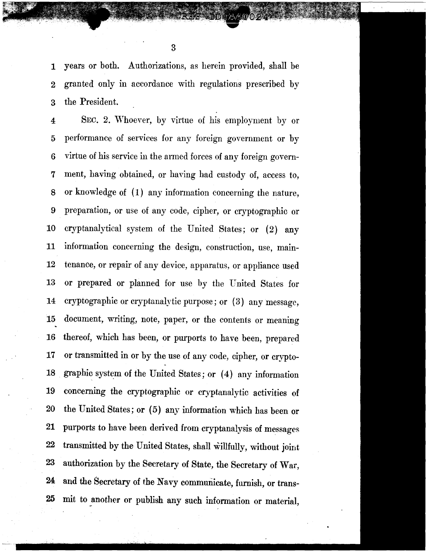1 years or both. Authorizations, as herein provided, shall be 2 granted only in accordance with regulations prescribed by 3 the President.

4 SEC. 2. 'Vhoever, by virtue of his employment by or 5 performance of services for any foreign government or by 6 virtue of his service in the armed forces of any foreign govem-7 ment, having obtained, or having had custody of, access to, 8 or knowledge of (1) any information concerning the nature, 9 preparation, or use of any code, cipher, or cryptographic or 10 cryptanalytical system of the United States; or (2) any 11 information concerning the design, construction, use, main-12 tenance, or repair of any device, apparatus, or appliance used 13 or prepared or planned for use by the United States for 14 cryptographic or cryptanalytic purpose; or (3) any message, 15 document, writing, note, paper, or the contents or meaning 16 thereof, which has been, or purports to have been, prepared 17 or transmitted in or by the use of any code, cipher, or crypto-18 graphic system of the United States; or (4) any information 19 concerning the cryptographic or cryptanalytic activities of 20 the United States; or (5) any information which has been or 21 purports to have been derived from cryptanalysis of messages 22 transmitted by the United States, shall willfully, without joint 23 authorization by the Secretary of State, the Secretary of War, 24 and the Secretary of the Navy communicate, furnish, or trans-25 mit to \_another or publish any such information or material,

3